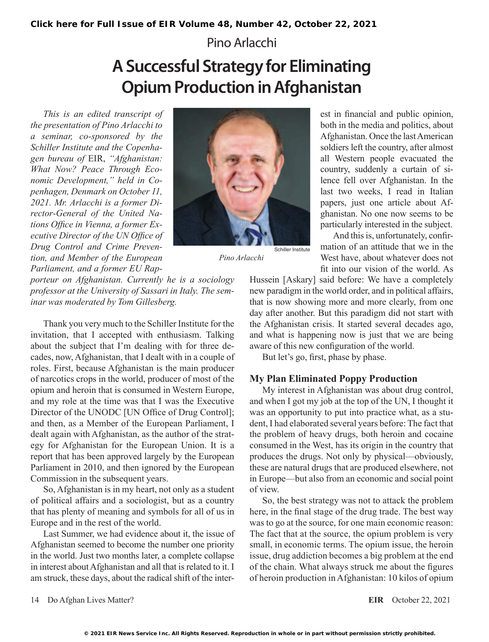Pino Arlacchi

# **A Successful Strategy for Eliminating Opium Production in Afghanistan**

*This is an edited transcript of the presentation of Pino Arlacchi to a seminar, co-sponsored by the Schiller Institute and the Copenhagen bureau of* EIR, *"Afghanistan: What Now? Peace Through Economic Development," held in Copenhagen, Denmark on October 11, 2021. Mr. Arlacchi is a former Director-General of the United Nations Office in Vienna, a former Executive Director of the UN Office of Drug Control and Crime Prevention, and Member of the European Parliament, and a former EU Rap-*



*Pino Arlacchi*

*porteur on Afghanistan. Currently he is a sociology professor at the University of Sassari in Italy. The seminar was moderated by Tom Gillesberg.*

Thank you very much to the Schiller Institute for the invitation, that I accepted with enthusiasm. Talking about the subject that I'm dealing with for three decades, now, Afghanistan, that I dealt with in a couple of roles. First, because Afghanistan is the main producer of narcotics crops in the world, producer of most of the opium and heroin that is consumed in Western Europe, and my role at the time was that I was the Executive Director of the UNODC [UN Office of Drug Control]; and then, as a Member of the European Parliament, I dealt again with Afghanistan, as the author of the strategy for Afghanistan for the European Union. It is a report that has been approved largely by the European Parliament in 2010, and then ignored by the European Commission in the subsequent years.

So, Afghanistan is in my heart, not only as a student of political affairs and a sociologist, but as a country that has plenty of meaning and symbols for all of us in Europe and in the rest of the world.

Last Summer, we had evidence about it, the issue of Afghanistan seemed to become the number one priority in the world. Just two months later, a complete collapse in interest about Afghanistan and all that is related to it. I am struck, these days, about the radical shift of the inter-

est in financial and public opinion, both in the media and politics, about Afghanistan. Once the last American soldiers left the country, after almost all Western people evacuated the country, suddenly a curtain of silence fell over Afghanistan. In the last two weeks, I read in Italian papers, just one article about Afghanistan. No one now seems to be particularly interested in the subject.

And this is, unfortunately, confirmation of an attitude that we in the West have, about whatever does not fit into our vision of the world. As

Hussein [Askary] said before: We have a completely new paradigm in the world order, and in political affairs, that is now showing more and more clearly, from one day after another. But this paradigm did not start with the Afghanistan crisis. It started several decades ago, and what is happening now is just that we are being aware of this new configuration of the world.

But let's go, first, phase by phase.

#### **My Plan Eliminated Poppy Production**

My interest in Afghanistan was about drug control, and when I got my job at the top of the UN, I thought it was an opportunity to put into practice what, as a student, I had elaborated several years before: The fact that the problem of heavy drugs, both heroin and cocaine consumed in the West, has its origin in the country that produces the drugs. Not only by physical—obviously, these are natural drugs that are produced elsewhere, not in Europe—but also from an economic and social point of view.

So, the best strategy was not to attack the problem here, in the final stage of the drug trade. The best way was to go at the source, for one main economic reason: The fact that at the source, the opium problem is very small, in economic terms. The opium issue, the heroin issue, drug addiction becomes a big problem at the end of the chain. What always struck me about the figures of heroin production in Afghanistan: 10 kilos of opium

14 Do Afghan Lives Matter? **EIR** October 22, 2021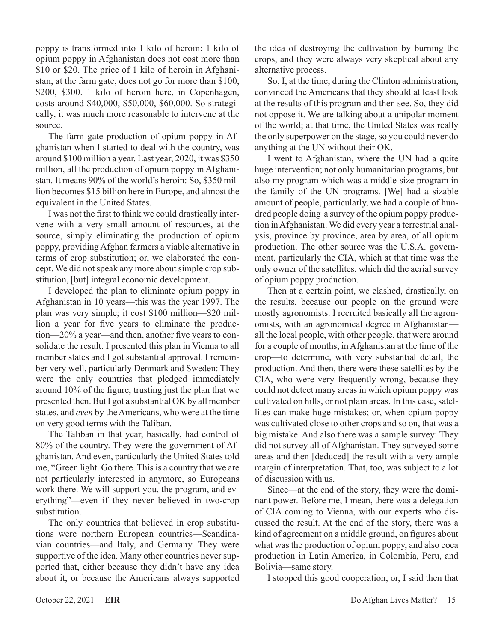poppy is transformed into 1 kilo of heroin: 1 kilo of opium poppy in Afghanistan does not cost more than \$10 or \$20. The price of 1 kilo of heroin in Afghanistan, at the farm gate, does not go for more than \$100, \$200, \$300. 1 kilo of heroin here, in Copenhagen, costs around \$40,000, \$50,000, \$60,000. So strategically, it was much more reasonable to intervene at the source.

The farm gate production of opium poppy in Afghanistan when I started to deal with the country, was around \$100 million a year. Last year, 2020, it was \$350 million, all the production of opium poppy in Afghanistan. It means 90% of the world's heroin: So, \$350 million becomes \$15 billion here in Europe, and almost the equivalent in the United States.

I was not the first to think we could drastically intervene with a very small amount of resources, at the source, simply eliminating the production of opium poppy, providing Afghan farmers a viable alternative in terms of crop substitution; or, we elaborated the concept. We did not speak any more about simple crop substitution, [but] integral economic development.

I developed the plan to eliminate opium poppy in Afghanistan in 10 years—this was the year 1997. The plan was very simple; it cost \$100 million—\$20 million a year for five years to eliminate the production—20% a year—and then, another five years to consolidate the result. I presented this plan in Vienna to all member states and I got substantial approval. I remember very well, particularly Denmark and Sweden: They were the only countries that pledged immediately around 10% of the figure, trusting just the plan that we presented then. But I got a substantial OK by all member states, and *even* by the Americans, who were at the time on very good terms with the Taliban.

The Taliban in that year, basically, had control of 80% of the country. They were the government of Afghanistan. And even, particularly the United States told me, "Green light. Go there. This is a country that we are not particularly interested in anymore, so Europeans work there. We will support you, the program, and everything"—even if they never believed in two-crop substitution.

The only countries that believed in crop substitutions were northern European countries—Scandinavian countries—and Italy, and Germany. They were supportive of the idea. Many other countries never supported that, either because they didn't have any idea about it, or because the Americans always supported the idea of destroying the cultivation by burning the crops, and they were always very skeptical about any alternative process.

So, I, at the time, during the Clinton administration, convinced the Americans that they should at least look at the results of this program and then see. So, they did not oppose it. We are talking about a unipolar moment of the world; at that time, the United States was really the only superpower on the stage, so you could never do anything at the UN without their OK.

I went to Afghanistan, where the UN had a quite huge intervention; not only humanitarian programs, but also my program which was a middle-size program in the family of the UN programs. [We] had a sizable amount of people, particularly, we had a couple of hundred people doing a survey of the opium poppy production in Afghanistan. We did every year a terrestrial analysis, province by province, area by area, of all opium production. The other source was the U.S.A. government, particularly the CIA, which at that time was the only owner of the satellites, which did the aerial survey of opium poppy production.

Then at a certain point, we clashed, drastically, on the results, because our people on the ground were mostly agronomists. I recruited basically all the agronomists, with an agronomical degree in Afghanistan all the local people, with other people, that were around for a couple of months, in Afghanistan at the time of the crop—to determine, with very substantial detail, the production. And then, there were these satellites by the CIA, who were very frequently wrong, because they could not detect many areas in which opium poppy was cultivated on hills, or not plain areas. In this case, satellites can make huge mistakes; or, when opium poppy was cultivated close to other crops and so on, that was a big mistake. And also there was a sample survey: They did not survey all of Afghanistan. They surveyed some areas and then [deduced] the result with a very ample margin of interpretation. That, too, was subject to a lot of discussion with us.

Since—at the end of the story, they were the dominant power. Before me, I mean, there was a delegation of CIA coming to Vienna, with our experts who discussed the result. At the end of the story, there was a kind of agreement on a middle ground, on figures about what was the production of opium poppy, and also coca production in Latin America, in Colombia, Peru, and Bolivia—same story.

I stopped this good cooperation, or, I said then that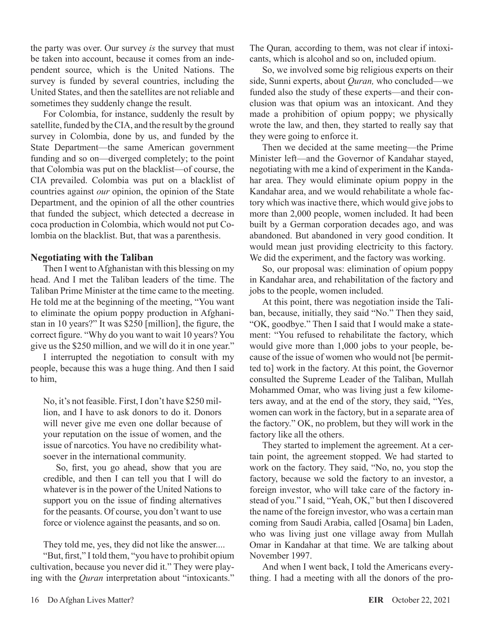the party was over. Our survey *is* the survey that must be taken into account, because it comes from an independent source, which is the United Nations. The survey is funded by several countries, including the United States, and then the satellites are not reliable and sometimes they suddenly change the result.

For Colombia, for instance, suddenly the result by satellite, funded by the CIA, and the result by the ground survey in Colombia, done by us, and funded by the State Department—the same American government funding and so on—diverged completely; to the point that Colombia was put on the blacklist—of course, the CIA prevailed. Colombia was put on a blacklist of countries against *our* opinion, the opinion of the State Department, and the opinion of all the other countries that funded the subject, which detected a decrease in coca production in Colombia, which would not put Colombia on the blacklist. But, that was a parenthesis.

#### **Negotiating with the Taliban**

Then I went to Afghanistan with this blessing on my head. And I met the Taliban leaders of the time. The Taliban Prime Minister at the time came to the meeting. He told me at the beginning of the meeting, "You want to eliminate the opium poppy production in Afghanistan in 10 years?" It was \$250 [million], the figure, the correct figure. "Why do you want to wait 10 years? You give us the \$250 million, and we will do it in one year."

I interrupted the negotiation to consult with my people, because this was a huge thing. And then I said to him,

No, it's not feasible. First, I don't have \$250 million, and I have to ask donors to do it. Donors will never give me even one dollar because of your reputation on the issue of women, and the issue of narcotics. You have no credibility whatsoever in the international community.

So, first, you go ahead, show that you are credible, and then I can tell you that I will do whatever is in the power of the United Nations to support you on the issue of finding alternatives for the peasants. Of course, you don't want to use force or violence against the peasants, and so on.

They told me, yes, they did not like the answer....

"But, first," I told them, "you have to prohibit opium cultivation, because you never did it." They were playing with the *Quran* interpretation about "intoxicants." The Quran*,* according to them, was not clear if intoxicants, which is alcohol and so on, included opium.

So, we involved some big religious experts on their side, Sunni experts, about *Quran,* who concluded—we funded also the study of these experts—and their conclusion was that opium was an intoxicant. And they made a prohibition of opium poppy; we physically wrote the law, and then, they started to really say that they were going to enforce it.

Then we decided at the same meeting—the Prime Minister left—and the Governor of Kandahar stayed, negotiating with me a kind of experiment in the Kandahar area. They would eliminate opium poppy in the Kandahar area, and we would rehabilitate a whole factory which was inactive there, which would give jobs to more than 2,000 people, women included. It had been built by a German corporation decades ago, and was abandoned. But abandoned in very good condition. It would mean just providing electricity to this factory. We did the experiment, and the factory was working.

So, our proposal was: elimination of opium poppy in Kandahar area, and rehabilitation of the factory and jobs to the people, women included.

At this point, there was negotiation inside the Taliban, because, initially, they said "No." Then they said, "OK, goodbye." Then I said that I would make a statement: "You refused to rehabilitate the factory, which would give more than 1,000 jobs to your people, because of the issue of women who would not [be permitted to] work in the factory. At this point, the Governor consulted the Supreme Leader of the Taliban, Mullah Mohammed Omar, who was living just a few kilometers away, and at the end of the story, they said, "Yes, women can work in the factory, but in a separate area of the factory." OK, no problem, but they will work in the factory like all the others.

They started to implement the agreement. At a certain point, the agreement stopped. We had started to work on the factory. They said, "No, no, you stop the factory, because we sold the factory to an investor, a foreign investor, who will take care of the factory instead of you." I said, "Yeah, OK," but then I discovered the name of the foreign investor, who was a certain man coming from Saudi Arabia, called [Osama] bin Laden, who was living just one village away from Mullah Omar in Kandahar at that time. We are talking about November 1997.

And when I went back, I told the Americans everything. I had a meeting with all the donors of the pro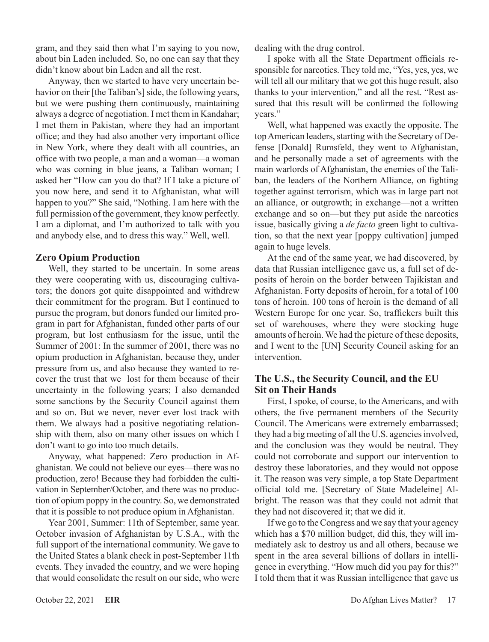gram, and they said then what I'm saying to you now, about bin Laden included. So, no one can say that they didn't know about bin Laden and all the rest.

Anyway, then we started to have very uncertain behavior on their [the Taliban's] side, the following years, but we were pushing them continuously, maintaining always a degree of negotiation. I met them in Kandahar; I met them in Pakistan, where they had an important office; and they had also another very important office in New York, where they dealt with all countries, an office with two people, a man and a woman—a woman who was coming in blue jeans, a Taliban woman; I asked her "How can you do that? If I take a picture of you now here, and send it to Afghanistan, what will happen to you?" She said, "Nothing. I am here with the full permission of the government, they know perfectly. I am a diplomat, and I'm authorized to talk with you and anybody else, and to dress this way." Well, well.

# **Zero Opium Production**

Well, they started to be uncertain. In some areas they were cooperating with us, discouraging cultivators; the donors got quite disappointed and withdrew their commitment for the program. But I continued to pursue the program, but donors funded our limited program in part for Afghanistan, funded other parts of our program, but lost enthusiasm for the issue, until the Summer of 2001: In the summer of 2001, there was no opium production in Afghanistan, because they, under pressure from us, and also because they wanted to recover the trust that we lost for them because of their uncertainty in the following years; I also demanded some sanctions by the Security Council against them and so on. But we never, never ever lost track with them. We always had a positive negotiating relationship with them, also on many other issues on which I don't want to go into too much details.

Anyway, what happened: Zero production in Afghanistan. We could not believe our eyes—there was no production, zero! Because they had forbidden the cultivation in September/October, and there was no production of opium poppy in the country. So, we demonstrated that it is possible to not produce opium in Afghanistan.

Year 2001, Summer: 11th of September, same year. October invasion of Afghanistan by U.S.A., with the full support of the international community. We gave to the United States a blank check in post-September 11th events. They invaded the country, and we were hoping that would consolidate the result on our side, who were dealing with the drug control.

I spoke with all the State Department officials responsible for narcotics. They told me, "Yes, yes, yes, we will tell all our military that we got this huge result, also thanks to your intervention," and all the rest. "Rest assured that this result will be confirmed the following years."

Well, what happened was exactly the opposite. The top American leaders, starting with the Secretary of Defense [Donald] Rumsfeld, they went to Afghanistan, and he personally made a set of agreements with the main warlords of Afghanistan, the enemies of the Taliban, the leaders of the Northern Alliance, on fighting together against terrorism, which was in large part not an alliance, or outgrowth; in exchange—not a written exchange and so on—but they put aside the narcotics issue, basically giving a *de facto* green light to cultivation, so that the next year [poppy cultivation] jumped again to huge levels.

At the end of the same year, we had discovered, by data that Russian intelligence gave us, a full set of deposits of heroin on the border between Tajikistan and Afghanistan. Forty deposits of heroin, for a total of 100 tons of heroin. 100 tons of heroin is the demand of all Western Europe for one year. So, traffickers built this set of warehouses, where they were stocking huge amounts of heroin. We had the picture of these deposits, and I went to the [UN] Security Council asking for an intervention.

# **The U.S., the Security Council, and the EU Sit on Their Hands**

First, I spoke, of course, to the Americans, and with others, the five permanent members of the Security Council. The Americans were extremely embarrassed; they had a big meeting of all the U.S. agencies involved, and the conclusion was they would be neutral. They could not corroborate and support our intervention to destroy these laboratories, and they would not oppose it. The reason was very simple, a top State Department official told me. [Secretary of State Madeleine] Albright. The reason was that they could not admit that they had not discovered it; that we did it.

If we go to the Congress and we say that your agency which has a \$70 million budget, did this, they will immediately ask to destroy us and all others, because we spent in the area several billions of dollars in intelligence in everything. "How much did you pay for this?" I told them that it was Russian intelligence that gave us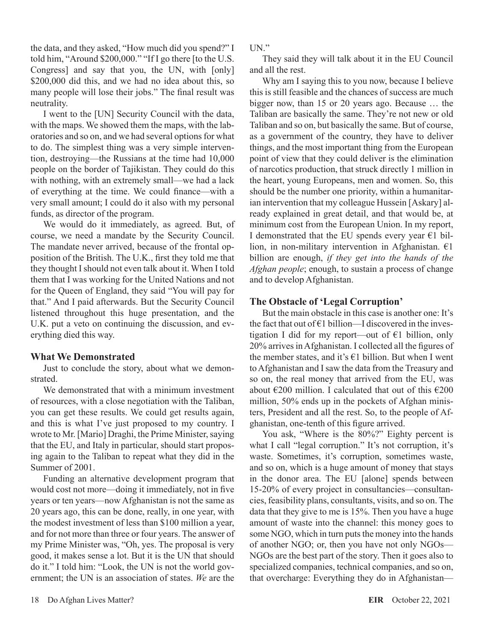the data, and they asked, "How much did you spend?" I told him, "Around \$200,000." "If I go there [to the U.S. Congress] and say that you, the UN, with [only] \$200,000 did this, and we had no idea about this, so many people will lose their jobs." The final result was neutrality.

I went to the [UN] Security Council with the data, with the maps. We showed them the maps, with the laboratories and so on, and we had several options for what to do. The simplest thing was a very simple intervention, destroying—the Russians at the time had 10,000 people on the border of Tajikistan. They could do this with nothing, with an extremely small—we had a lack of everything at the time. We could finance—with a very small amount; I could do it also with my personal funds, as director of the program.

We would do it immediately, as agreed. But, of course, we need a mandate by the Security Council. The mandate never arrived, because of the frontal opposition of the British. The U.K., first they told me that they thought I should not even talk about it. When I told them that I was working for the United Nations and not for the Queen of England, they said "You will pay for that." And I paid afterwards. But the Security Council listened throughout this huge presentation, and the U.K. put a veto on continuing the discussion, and everything died this way.

#### **What We Demonstrated**

Just to conclude the story, about what we demonstrated.

We demonstrated that with a minimum investment of resources, with a close negotiation with the Taliban, you can get these results. We could get results again, and this is what I've just proposed to my country. I wrote to Mr. [Mario] Draghi, the Prime Minister, saying that the EU, and Italy in particular, should start proposing again to the Taliban to repeat what they did in the Summer of 2001.

Funding an alternative development program that would cost not more—doing it immediately, not in five years or ten years—now Afghanistan is not the same as 20 years ago, this can be done, really, in one year, with the modest investment of less than \$100 million a year, and for not more than three or four years. The answer of my Prime Minister was, "Oh, yes. The proposal is very good, it makes sense a lot. But it is the UN that should do it." I told him: "Look, the UN is not the world government; the UN is an association of states. *We* are the IN"

They said they will talk about it in the EU Council and all the rest.

Why am I saying this to you now, because I believe this is still feasible and the chances of success are much bigger now, than 15 or 20 years ago. Because … the Taliban are basically the same. They're not new or old Taliban and so on, but basically the same. But of course, as a government of the country, they have to deliver things, and the most important thing from the European point of view that they could deliver is the elimination of narcotics production, that struck directly 1 million in the heart, young Europeans, men and women. So, this should be the number one priority, within a humanitarian intervention that my colleague Hussein [Askary] already explained in great detail, and that would be, at minimum cost from the European Union. In my report, I demonstrated that the EU spends every year  $E1$  billion, in non-military intervention in Afghanistan.  $E1$ billion are enough, *if they get into the hands of the Afghan people*; enough, to sustain a process of change and to develop Afghanistan.

#### **The Obstacle of 'Legal Corruption'**

But the main obstacle in this case is another one: It's the fact that out of  $E1$  billion—I discovered in the investigation I did for my report—out of  $\epsilon$ 1 billion, only 20% arrives in Afghanistan. I collected all the figures of the member states, and it's  $\epsilon$ 1 billion. But when I went to Afghanistan and I saw the data from the Treasury and so on, the real money that arrived from the EU, was about  $\epsilon$ 200 million. I calculated that out of this  $\epsilon$ 200 million, 50% ends up in the pockets of Afghan ministers, President and all the rest. So, to the people of Afghanistan, one-tenth of this figure arrived.

You ask, "Where is the 80%?" Eighty percent is what I call "legal corruption." It's not corruption, it's waste. Sometimes, it's corruption, sometimes waste, and so on, which is a huge amount of money that stays in the donor area. The EU [alone] spends between 15-20% of every project in consultancies—consultancies, feasibility plans, consultants, visits, and so on. The data that they give to me is 15%. Then you have a huge amount of waste into the channel: this money goes to some NGO, which in turn puts the money into the hands of another NGO; or, then you have not only NGOs— NGOs are the best part of the story. Then it goes also to specialized companies, technical companies, and so on, that overcharge: Everything they do in Afghanistan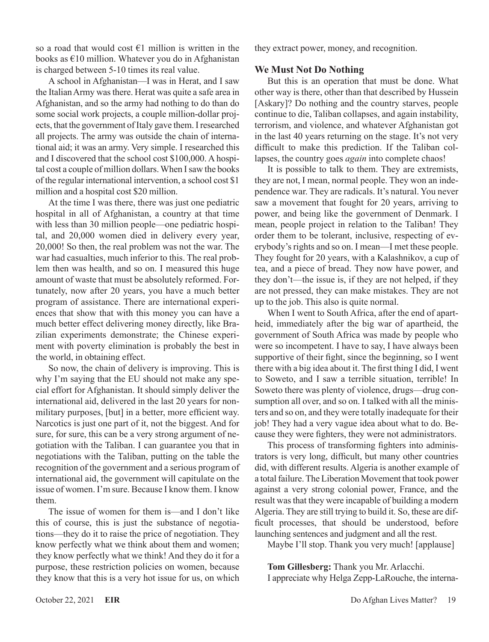so a road that would cost  $\epsilon$ 1 million is written in the books as €10 million. Whatever you do in Afghanistan is charged between 5-10 times its real value.

A school in Afghanistan—I was in Herat, and I saw the Italian Army was there. Herat was quite a safe area in Afghanistan, and so the army had nothing to do than do some social work projects, a couple million-dollar projects, that the government of Italy gave them. I researched all projects. The army was outside the chain of international aid; it was an army. Very simple. I researched this and I discovered that the school cost \$100,000. A hospital cost a couple of million dollars. When I saw the books of the regular international intervention, a school cost \$1 million and a hospital cost \$20 million.

At the time I was there, there was just one pediatric hospital in all of Afghanistan, a country at that time with less than 30 million people—one pediatric hospital, and 20,000 women died in delivery every year, 20,000! So then, the real problem was not the war. The war had casualties, much inferior to this. The real problem then was health, and so on. I measured this huge amount of waste that must be absolutely reformed. Fortunately, now after 20 years, you have a much better program of assistance. There are international experiences that show that with this money you can have a much better effect delivering money directly, like Brazilian experiments demonstrate; the Chinese experiment with poverty elimination is probably the best in the world, in obtaining effect.

So now, the chain of delivery is improving. This is why I'm saying that the EU should not make any special effort for Afghanistan. It should simply deliver the international aid, delivered in the last 20 years for nonmilitary purposes, [but] in a better, more efficient way. Narcotics is just one part of it, not the biggest. And for sure, for sure, this can be a very strong argument of negotiation with the Taliban. I can guarantee you that in negotiations with the Taliban, putting on the table the recognition of the government and a serious program of international aid, the government will capitulate on the issue of women. I'm sure. Because I know them. I know them.

The issue of women for them is—and I don't like this of course, this is just the substance of negotiations—they do it to raise the price of negotiation. They know perfectly what we think about them and women; they know perfectly what we think! And they do it for a purpose, these restriction policies on women, because they know that this is a very hot issue for us, on which

they extract power, money, and recognition.

#### **We Must Not Do Nothing**

But this is an operation that must be done. What other way is there, other than that described by Hussein [Askary]? Do nothing and the country starves, people continue to die, Taliban collapses, and again instability, terrorism, and violence, and whatever Afghanistan got in the last 40 years returning on the stage. It's not very difficult to make this prediction. If the Taliban collapses, the country goes *again* into complete chaos!

It is possible to talk to them. They are extremists, they are not, I mean, normal people. They won an independence war. They are radicals. It's natural. You never saw a movement that fought for 20 years, arriving to power, and being like the government of Denmark. I mean, people project in relation to the Taliban! They order them to be tolerant, inclusive, respecting of everybody's rights and so on. I mean—I met these people. They fought for 20 years, with a Kalashnikov, a cup of tea, and a piece of bread. They now have power, and they don't—the issue is, if they are not helped, if they are not pressed, they can make mistakes. They are not up to the job. This also is quite normal.

When I went to South Africa, after the end of apartheid, immediately after the big war of apartheid, the government of South Africa was made by people who were so incompetent. I have to say, I have always been supportive of their fight, since the beginning, so I went there with a big idea about it. The first thing I did, I went to Soweto, and I saw a terrible situation, terrible! In Soweto there was plenty of violence, drugs—drug consumption all over, and so on. I talked with all the ministers and so on, and they were totally inadequate for their job! They had a very vague idea about what to do. Because they were fighters, they were not administrators.

This process of transforming fighters into administrators is very long, difficult, but many other countries did, with different results. Algeria is another example of a total failure. The Liberation Movement that took power against a very strong colonial power, France, and the result was that they were incapable of building a modern Algeria. They are still trying to build it. So, these are difficult processes, that should be understood, before launching sentences and judgment and all the rest.

Maybe I'll stop. Thank you very much! [applause]

**Tom Gillesberg:** Thank you Mr. Arlacchi. I appreciate why Helga Zepp-LaRouche, the interna